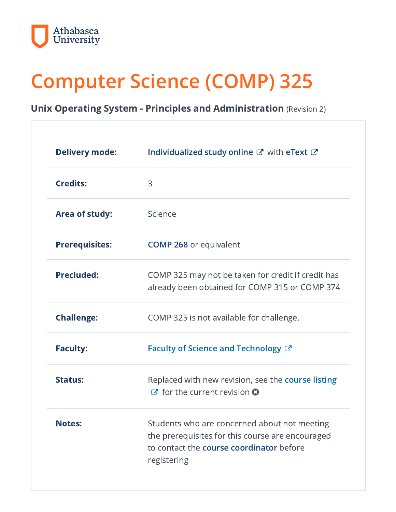

# Computer Science (COMP) 325

#### Unix Operating System - Principles and Administration (Revision 2)

| <b>Delivery mode:</b> | Individualized study online & with eText &                                                                                                                  |
|-----------------------|-------------------------------------------------------------------------------------------------------------------------------------------------------------|
| <b>Credits:</b>       | 3                                                                                                                                                           |
| Area of study:        | Science                                                                                                                                                     |
| <b>Prerequisites:</b> | <b>COMP 268 or equivalent</b>                                                                                                                               |
| <b>Precluded:</b>     | COMP 325 may not be taken for credit if credit has<br>already been obtained for COMP 315 or COMP 374                                                        |
| <b>Challenge:</b>     | COMP 325 is not available for challenge.                                                                                                                    |
| <b>Faculty:</b>       | Faculty of Science and Technology $\mathbb{Z}^n$                                                                                                            |
| <b>Status:</b>        | Replaced with new revision, see the course listing<br>$\mathbb{Z}$ for the current revision $\Omega$                                                        |
| <b>Notes:</b>         | Students who are concerned about not meeting<br>the prerequisites for this course are encouraged<br>to contact the course coordinator before<br>registering |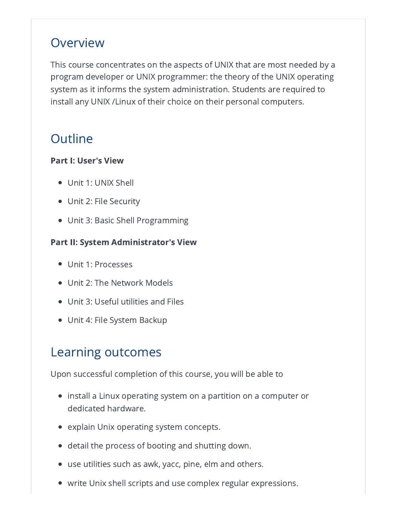### Overview

This course concentrates on the aspects of UNIX that are most needed by a program developer or UNIX programmer: the theory of the UNIX operating system as it informs the system administration. Students are required to install any UNIX /Linux of their choice on their personal computers.

# **Outline**

#### Part I: User's View

- Unit 1: UNIX Shell
- Unit 2: File Security
- Unit 3: Basic Shell Programming

#### Part II: System Administrator's View

- Unit 1: Processes
- Unit 2: The Network Models
- Unit 3: Useful utilities and Files
- Unit 4: File System Backup

## Learning outcomes

Upon successful completion of this course, you will be able to

- $\bullet~$  install a Linux operating system on a partition on a computer or dedicated hardware.
- explain Unix operating system concepts.
- detail the process of booting and shutting down.
- use utilities such as awk, yacc, pine, elm and others.
- write Unix shell scripts and use complex regular expressions.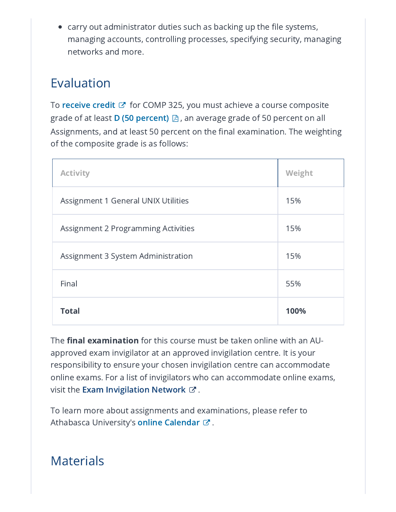$\bullet~$  carry out administrator duties such as backing up the file systems, managing accounts, controlling processes, specifying security, managing networks and more.

## Evaluation

To  $\mathop{\mathsf{receive}}\nolimits$  $\mathop{\mathsf{receive}}\nolimits$  $\mathop{\mathsf{receive}}\nolimits$  credit  $\mathbb{C}^\bullet$  for COMP 325, you must achieve a course composite grade of at least **D (50 [percent\)](https://www.athabascau.ca/university-secretariat/_documents/policy/undergraduate-grading-policy.pdf)**  $\boxtimes$  , an average grade of 50 percent on all Assignments, and at least 50 percent on the final examination. The weighting of the composite grade is as follows:

| <b>Activity</b>                            | Weight |
|--------------------------------------------|--------|
| <b>Assignment 1 General UNIX Utilities</b> | 15%    |
| Assignment 2 Programming Activities        | 15%    |
| Assignment 3 System Administration         | 15%    |
| Final                                      | 55%    |
| <b>Total</b>                               | 100%   |

The **final examination** for this course must be taken online with an AUapproved exam invigilator at an approved invigilation centre. It is your responsibility to ensure your chosen invigilation centre can accommodate online exams. For a list of invigilators who can accommodate online exams, visit the **Exam [Invigilation](https://www.athabascau.ca/support-services/exam-services-support/finding-exam-locations/canada-wide-invigilation-locations.html) Network**  $\varnothing$  .

To learn more about assignments and examinations, please refer to Athabasca University's **online [Calendar](https://www.athabascau.ca/calendar/undergraduate/exams-grades/requesting-an-exam.html)** ぴ .

### Materials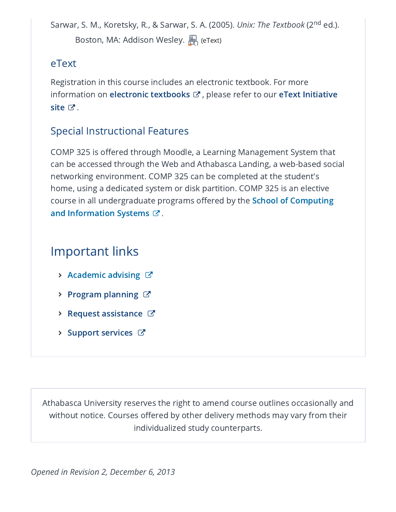Sarwar, S. M., Koretsky, R., & Sarwar, S. A. (2005). *Unix: The Textbook* (2<sup>nd</sup> ed.). Boston, MA: Addison Wesley. A (eText)

#### eText

Registration in this course includes an electronic textbook. For more [information](https://www.athabascau.ca/etext-initiative/index.html) on **electronic [textbooks](https://www.athabascau.ca/calendar/undergraduate/general-information/glossary.html#etext)**  $\mathbf{\mathcal{C}}$  , please refer to our **eText Initiative** site  $\mathbb{C}^{\bullet}$  .

#### Special Instructional Features

COMP 325 is offered through Moodle, a Learning Management System that can be accessed through the Web and Athabasca Landing, a web-based social networking environment. COMP 325 can be completed at the student's home, using a dedicated system or disk partition. COMP 325 is an elective course in all [undergraduate](https://scis.athabascau.ca/) programs offered by the School of Computing and Information Systems  $\mathbb{C}^r.$ 

# Important links

- $\triangleright$  [Academic](https://www.athabascau.ca/support-services/program-and-course-advising/index.html) advising  $\mathbb{Z}$
- **Program [planning](https://www.athabascau.ca/support-services/program-and-course-advising/advising-for-current-and-visiting-students/program-plans/index.html)**  $\mathbb{C}^n$
- $\triangleright$  Request [assistance](https://www.athabascau.ca/help-support/)  $\mathbb{Z}$
- $\triangleright$  Support [services](https://www.athabascau.ca/support-services/)  $\triangleright$

Athabasca University reserves the right to amend course outlines occasionally and without notice. Courses offered by other delivery methods may vary from their individualized study counterparts.

*Opened in Revision 2, December 6, 2013*